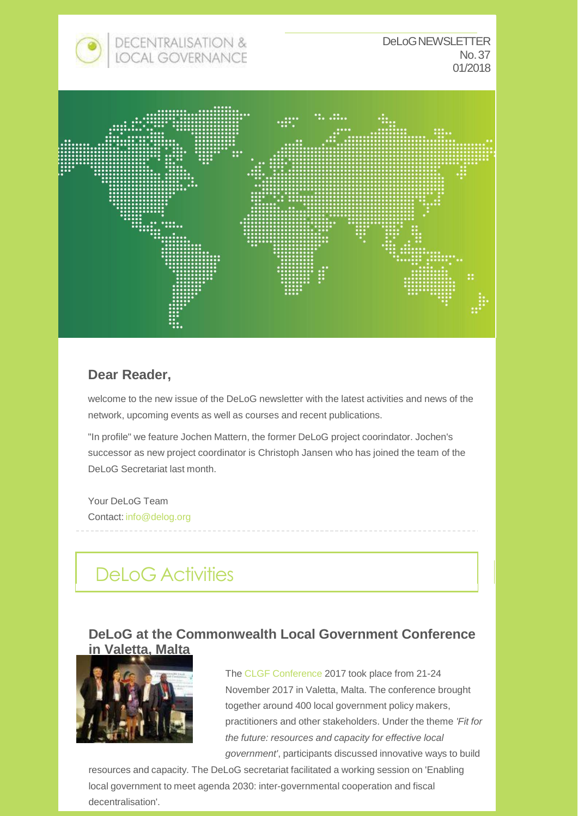



### **Dear Reader,**

welcome to the new issue of the DeLoG newsletter with the latest activities and news of the network, upcoming events as well as courses and recent publications.

"In profile" we feature Jochen Mattern, the former DeLoG project coorindator. Jochen's successor as new project coordinator is Christoph Jansen who has joined the team of the DeLoG Secretariat last month.

Your DeLoG Team Contact: [info@delog.org](mailto:info@delog.org)

# DeLoG Activities

#### **DeLoG at the Commonwealth Local Government Conference in Valetta, Malta**



The CLGF Conference 2017 took place from 21-24 November 2017 in Valetta, Malta. The conference brought together around 400 local government policy makers, practitioners and other stakeholders. Under the theme *'Fit for the future: resources and capacity for effective local government'*, participants discussed innovative ways to build

resources and capacity. The DeLoG secretariat facilitated a working session on 'Enabling local government to meet agenda 2030: inter-governmental cooperation and fiscal decentralisation'.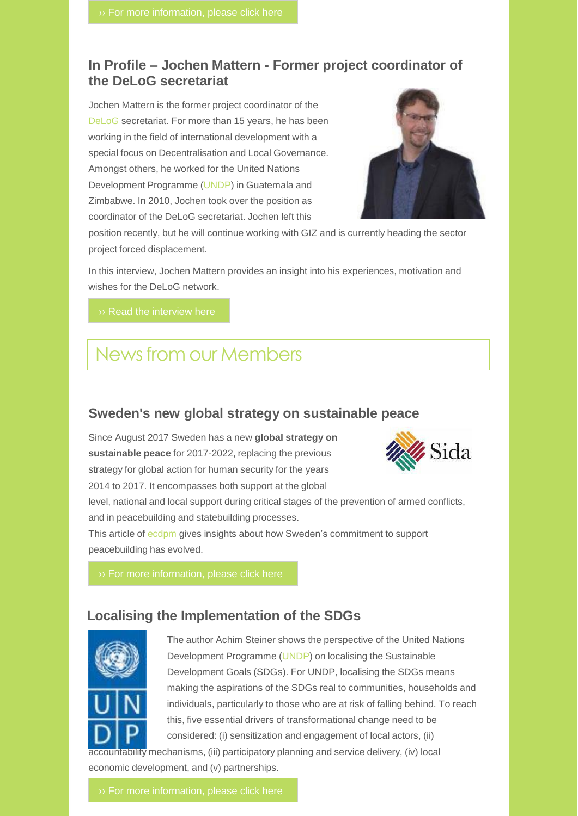#### **In Profile – Jochen Mattern - Former project coordinator of the DeLoG secretariat**

Jochen Mattern is the former project coordinator of the DeLoG secretariat. For more than 15 years, he has been working in the field of international development with a special focus on Decentralisation and Local Governance. Amongst others, he worked for the United Nations Development Programme (UNDP) in Guatemala and Zimbabwe. In 2010, Jochen took over the position as coordinator of the DeLoG secretariat. Jochen left this



position recently, but he will continue working with GIZ and is currently heading the sector project forced displacement.

In this interview, Jochen Mattern provides an insight into his experiences, motivation and wishes for the DeLoG network.

# Newsfrom our Members

#### **Sweden's new global strategy on sustainable peace**

Since August 2017 Sweden has a new **global strategy on sustainable peace** for 2017-2022, replacing the previous strategy for global action for human security for the years 2014 to 2017. It encompasses both support at the global



level, national and local support during critical stages of the prevention of armed conflicts, and in peacebuilding and statebuilding processes.

This article of ecdpm gives insights about how Sweden's commitment to support peacebuilding has evolved.

#### **Localising the Implementation of the SDGs**



The author Achim Steiner shows the perspective of the United Nations Development Programme (UNDP) on localising the Sustainable Development Goals (SDGs). For UNDP, localising the SDGs means making the aspirations of the SDGs real to communities, households and individuals, particularly to those who are at risk of falling behind. To reach this, five essential drivers of transformational change need to be considered: (i) sensitization and engagement of local actors, (ii)

countability mechanisms, (iii) participatory planning and service delivery, (iv) local economic development, and (v) partnerships.

 $\rightarrow$  For more information, please click here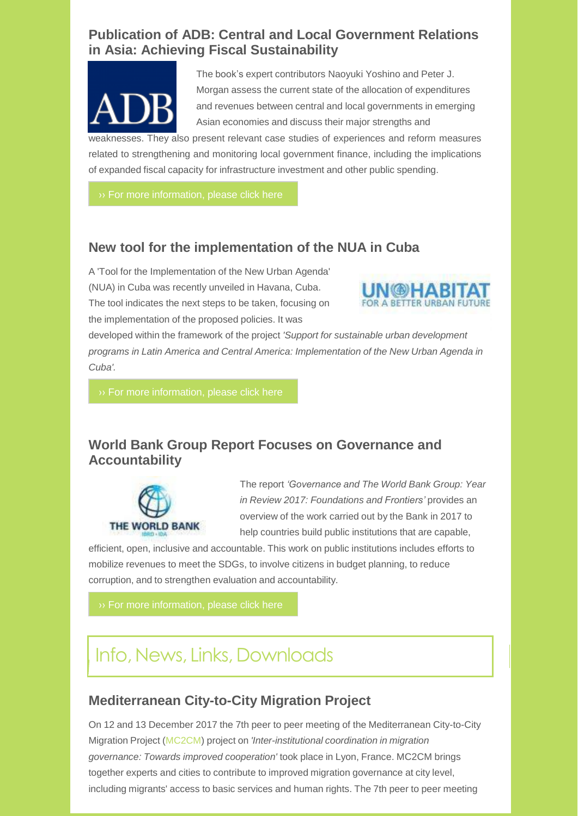### **Publication of ADB: Central and Local Government Relations in Asia: Achieving Fiscal Sustainability**



The book's expert contributors Naoyuki Yoshino and Peter J. Morgan assess the current state of the allocation of expenditures and revenues between central and local governments in emerging Asian economies and discuss their major strengths and

weaknesses. They also present relevant case studies of experiences and reform measures related to strengthening and monitoring local government finance, including the implications of expanded fiscal capacity for infrastructure investment and other public spending.

#### **New tool for the implementation of the NUA in Cuba**

A 'Tool for the Implementation of the New Urban Agenda' (NUA) in Cuba was recently unveiled in Havana, Cuba. The tool indicates the next steps to be taken, focusing on the implementation of the proposed policies. It was



developed within the framework of the project *'Support for sustainable urban development programs in Latin America and Central America: Implementation of the New Urban Agenda in Cuba'.*

### **World Bank Group Report Focuses on Governance and Accountability**



The report *'Governance and The World Bank Group: Year in Review 2017: Foundations and Frontiers'* provides an overview of the work carried out by the Bank in 2017 to help countries build public institutions that are capable,

efficient, open, inclusive and accountable. This work on public institutions includes efforts to mobilize revenues to meet the SDGs, to involve citizens in budget planning, to reduce corruption, and to strengthen evaluation and accountability.

# Info, News, Links, Downloads

### **Mediterranean City-to-City Migration Project**

On 12 and 13 December 2017 the 7th peer to peer meeting of the Mediterranean City-to-City Migration Project (MC2CM) project on *'Inter-institutional coordination in migration governance: Towards improved cooperation'* took place in Lyon, France. MC2CM brings together experts and cities to contribute to improved migration governance at city level, including migrants' access to basic services and human rights. The 7th peer to peer meeting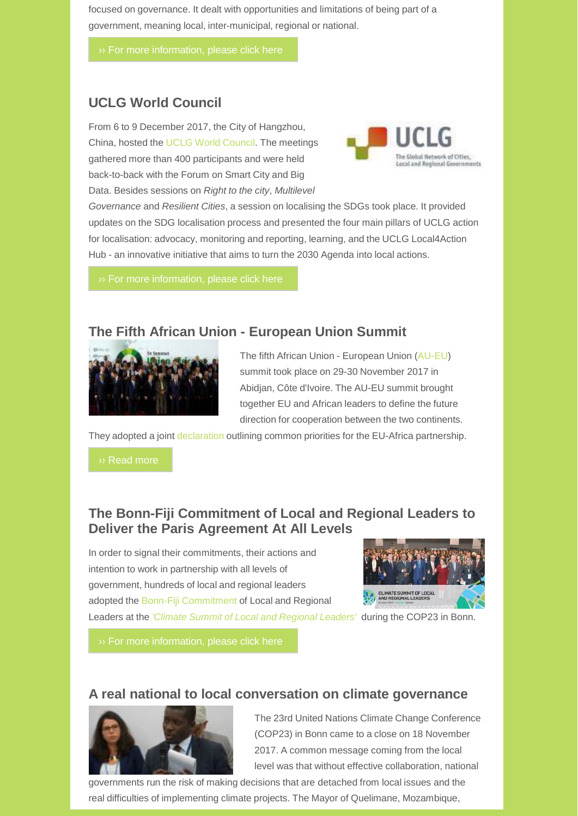focused on governance. It dealt with opportunities and limitations of being part of a government, meaning local, inter-municipal, regional or national.

### **UCLG World Council**

From 6 to 9 December 2017, the City of Hangzhou, China, hosted the UCLG World Council. The meetings gathered more than 400 participants and were held back-to-back with the Forum on Smart City and Big Data. Besides sessions on *Right to the city*, *Multilevel*



*Governance* and *Resilient Cities*, a session on localising the SDGs took place. It provided updates on the SDG localisation process and presented the four main pillars of UCLG action for localisation: advocacy, monitoring and reporting, learning, and the UCLG Local4Action Hub - an innovative initiative that aims to turn the 2030 Agenda into local actions.

#### **The Fifth African Union - European Union Summit**



The fifth African Union - European Union (AU-EU) summit took place on 29-30 November 2017 in Abidjan, Côte d'Ivoire. The AU-EU summit brought together EU and African leaders to define the future direction for cooperation between the two continents.

They adopted a joint declaration outlining common priorities for the EU-Africa partnership.

#### **The Bonn-Fiji Commitment of Local and Regional Leaders to Deliver the Paris Agreement At All Levels**

In order to signal their commitments, their actions and intention to work in partnership with all levels of government, hundreds of local and regional leaders adopted the Bonn-Fiji Commitment of Local and Regional Leaders at the *'Climate Summit of Local and Regional Leaders'* during the COP23 in Bonn.



#### **A real national to local conversation on climate governance**



The 23rd United Nations Climate Change Conference (COP23) in Bonn came to a close on 18 November 2017. A common message coming from the local level was that without effective collaboration, national

governments run the risk of making decisions that are detached from local issues and the real difficulties of implementing climate projects. The Mayor of Quelimane, Mozambique,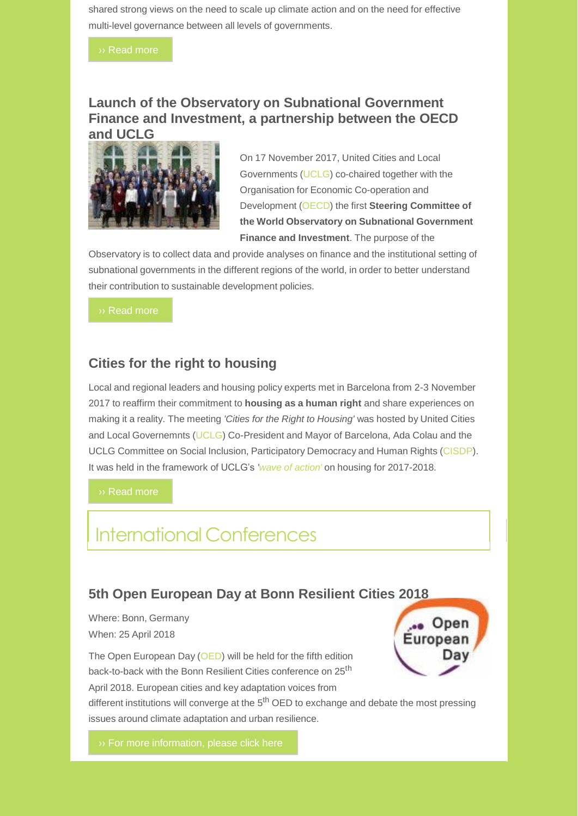shared strong views on the need to scale up climate action and on the need for effective multi-level governance between all levels of governments.

#### **Launch of the Observatory on Subnational Government Finance and Investment, a partnership between the OECD and UCLG**



On 17 November 2017, United Cities and Local Governments (UCLG) co-chaired together with the Organisation for Economic Co-operation and Development (OECD) the first **Steering Committee of the World Observatory on Subnational Government Finance and Investment**. The purpose of the

Observatory is to collect data and provide analyses on finance and the institutional setting of subnational governments in the different regions of the world, in order to better understand their contribution to sustainable development policies.

#### **Cities for the right to housing**

Local and regional leaders and housing policy experts met in Barcelona from 2-3 November 2017 to reaffirm their commitment to **housing as a human right** and share experiences on making it a reality. The meeting *'Cities for the Right to Housing'* was hosted by United Cities and Local Governemnts (UCLG) Co-President and Mayor of Barcelona, Ada Colau and the UCLG Committee on Social Inclusion, Participatory Democracy and Human Rights (CISDP). It was held in the framework of UCLG's *'wave of action'* on housing for 2017-2018.

›› Read more

# International Conferences

#### **5th Open European Day at Bonn Resilient Cities 2018**

Where: Bonn, Germany When: 25 April 2018

The Open European Day (OED) will be held for the fifth edition back-to-back with the Bonn Resilient Cities conference on 25<sup>th</sup> April 2018. European cities and key adaptation voices from



different institutions will converge at the 5<sup>th</sup> OED to exchange and debate the most pressing issues around climate adaptation and urban resilience.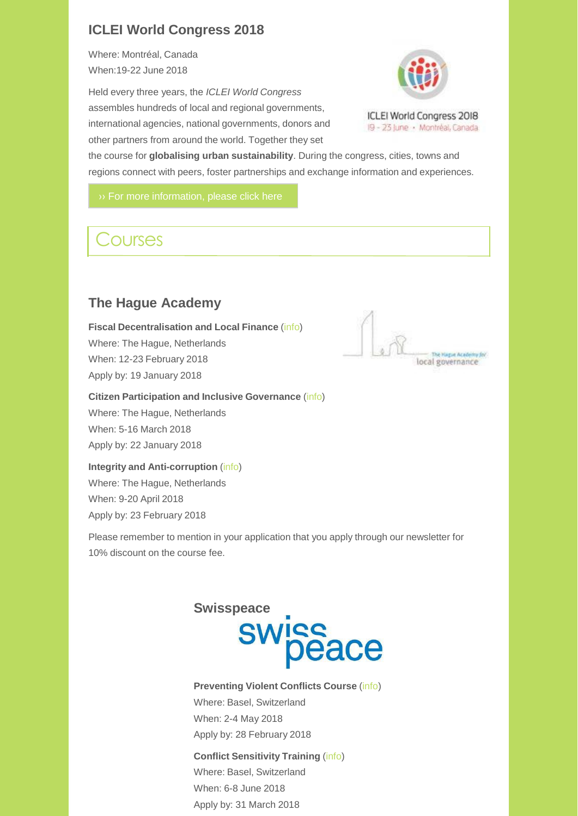### **ICLEI World Congress 2018**

Where: Montréal, Canada When:19-22 June 2018

Held every three years, the *ICLEI World Congress* assembles hundreds of local and regional governments, international agencies, national governments, donors and other partners from around the world. Together they set



the course for **globalising urban sustainability**. During the congress, cities, towns and regions connect with peers, foster partnerships and exchange information and experiences.

# **Courses**

## **The Hague Academy**

**Fiscal Decentralisation and Local Finance** (info) Where: The Hague, Netherlands When: 12-23 February 2018 Apply by: 19 January 2018

#### **Citizen Participation and Inclusive Governance** (info)

Where: The Hague, Netherlands When: 5-16 March 2018 Apply by: 22 January 2018

#### **Integrity and Anti-corruption** (info)

Where: The Hague, Netherlands When: 9-20 April 2018 Apply by: 23 February 2018

Please remember to mention in your application that you apply through our newsletter for 10% discount on the course fee.



**Preventing Violent Conflicts Course** (info) Where: Basel, Switzerland When: 2-4 May 2018 Apply by: 28 February 2018

#### **Conflict Sensitivity Training** (info)

Where: Basel, Switzerland When: 6-8 June 2018 Apply by: 31 March 2018

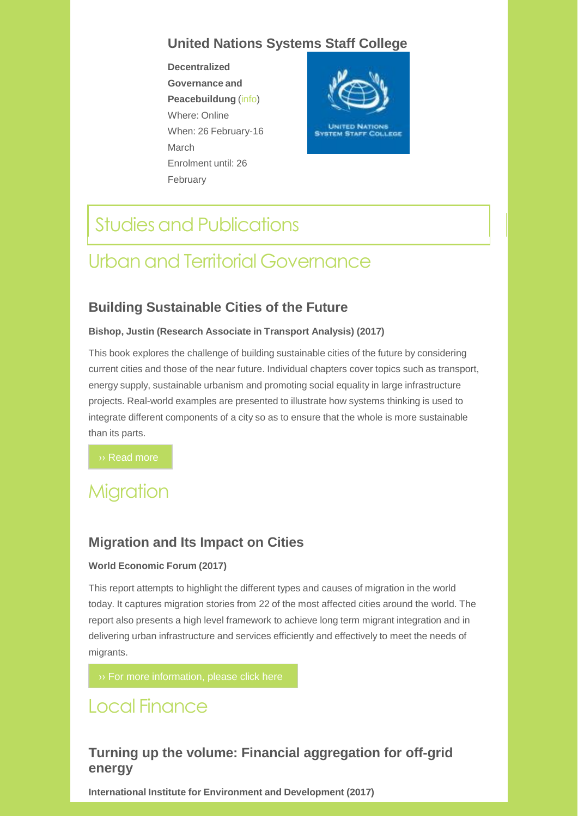### **United Nations Systems Staff College**

**Decentralized Governance and Peacebuildung** (info) Where: Online When: 26 February-16 March Enrolment until: 26 February



# **Studies and Publications**

# Urbanand Territorial Governance

### **Building Sustainable Cities of the Future**

#### **Bishop, Justin (Research Associate in Transport Analysis) (2017)**

This book explores the challenge of building sustainable cities of the future by considering current cities and those of the near future. Individual chapters cover topics such as transport, energy supply, sustainable urbanism and promoting social equality in large infrastructure projects. Real-world examples are presented to illustrate how systems thinking is used to integrate different components of a city so as to ensure that the whole is more sustainable than its parts.

›› Read more

# **Migration**

#### **Migration and Its Impact on Cities**

#### **World Economic Forum (2017)**

This report attempts to highlight the different types and causes of migration in the world today. It captures migration stories from 22 of the most affected cities around the world. The report also presents a high level framework to achieve long term migrant integration and in delivering urban infrastructure and services efficiently and effectively to meet the needs of migrants.

# Local Finance

### **Turning up the volume: Financial aggregation for off-grid energy**

**International Institute for Environment and Development (2017)**